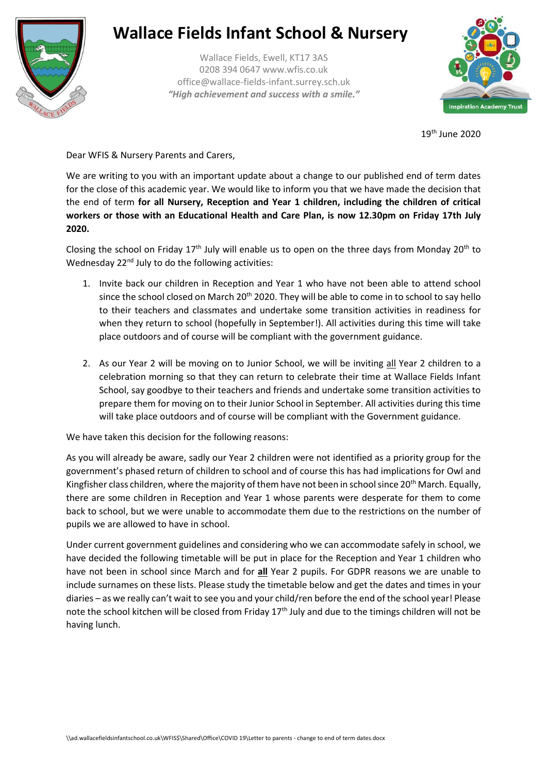

## **Wallace Fields Infant School & Nursery**

Wallace Fields, Ewell, KT17 3AS 0208 394 0647 www.wfis.co.uk office@wallace-fields-infant.surrey.sch.uk *"High achievement and success with a smile."*



19th June 2020

Dear WFIS & Nursery Parents and Carers,

We are writing to you with an important update about a change to our published end of term dates for the close of this academic year. We would like to inform you that we have made the decision that the end of term **for all Nursery, Reception and Year 1 children, including the children of critical workers or those with an Educational Health and Care Plan, is now 12.30pm on Friday 17th July 2020.**

Closing the school on Friday 17<sup>th</sup> July will enable us to open on the three days from Monday 20<sup>th</sup> to Wednesday 22<sup>nd</sup> July to do the following activities:

- 1. Invite back our children in Reception and Year 1 who have not been able to attend school since the school closed on March  $20<sup>th</sup> 2020$ . They will be able to come in to school to say hello to their teachers and classmates and undertake some transition activities in readiness for when they return to school (hopefully in September!). All activities during this time will take place outdoors and of course will be compliant with the government guidance.
- 2. As our Year 2 will be moving on to Junior School, we will be inviting all Year 2 children to a celebration morning so that they can return to celebrate their time at Wallace Fields Infant School, say goodbye to their teachers and friends and undertake some transition activities to prepare them for moving on to their Junior School in September. All activities during this time will take place outdoors and of course will be compliant with the Government guidance.

We have taken this decision for the following reasons:

As you will already be aware, sadly our Year 2 children were not identified as a priority group for the government's phased return of children to school and of course this has had implications for Owl and Kingfisher class children, where the majority of them have not been in school since 20<sup>th</sup> March. Equally, there are some children in Reception and Year 1 whose parents were desperate for them to come back to school, but we were unable to accommodate them due to the restrictions on the number of pupils we are allowed to have in school.

Under current government guidelines and considering who we can accommodate safely in school, we have decided the following timetable will be put in place for the Reception and Year 1 children who have not been in school since March and for **all** Year 2 pupils. For GDPR reasons we are unable to include surnames on these lists. Please study the timetable below and get the dates and times in your diaries – as we really can't wait to see you and your child/ren before the end of the school year! Please note the school kitchen will be closed from Friday  $17<sup>th</sup>$  July and due to the timings children will not be having lunch.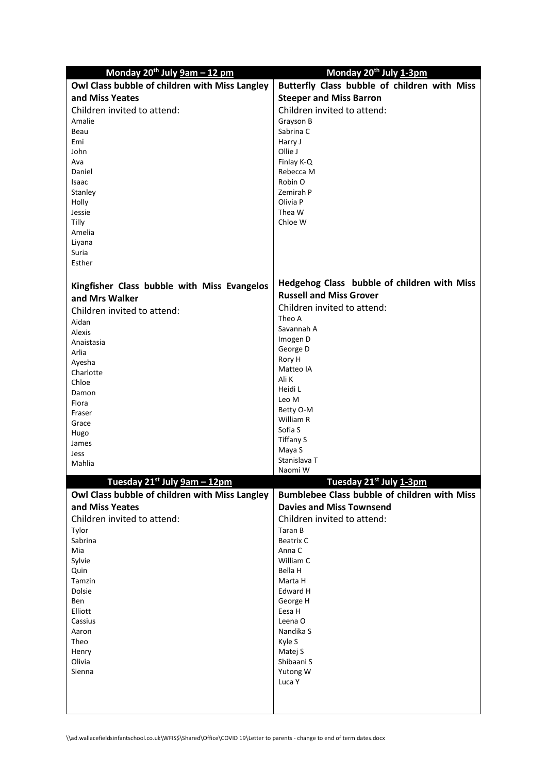| Monday $20^{th}$ July $9am - 12pm$              | Monday 20 <sup>th</sup> July 1-3pm           |
|-------------------------------------------------|----------------------------------------------|
| Owl Class bubble of children with Miss Langley  | Butterfly Class bubble of children with Miss |
| and Miss Yeates                                 | <b>Steeper and Miss Barron</b>               |
| Children invited to attend:                     | Children invited to attend:                  |
| Amalie                                          | Grayson B                                    |
| Beau                                            | Sabrina C                                    |
| Emi                                             | Harry J                                      |
| John                                            | Ollie J                                      |
| Ava<br>Daniel                                   | Finlay K-Q<br>Rebecca M                      |
| Isaac                                           | Robin O                                      |
| Stanley                                         | Zemirah P                                    |
| Holly                                           | Olivia P                                     |
| Jessie                                          | Thea W                                       |
| Tilly                                           | Chloe W                                      |
| Amelia                                          |                                              |
| Liyana                                          |                                              |
| Suria                                           |                                              |
| Esther                                          |                                              |
| Kingfisher Class bubble with Miss Evangelos     | Hedgehog Class bubble of children with Miss  |
| and Mrs Walker                                  | <b>Russell and Miss Grover</b>               |
|                                                 | Children invited to attend:                  |
| Children invited to attend:                     | Theo A                                       |
| Aidan                                           | Savannah A                                   |
| Alexis<br>Anaistasia                            | Imogen D                                     |
| Arlia                                           | George D                                     |
| Ayesha                                          | Rory H                                       |
| Charlotte                                       | Matteo IA                                    |
| Chloe                                           | Ali K                                        |
| Damon                                           | Heidi L                                      |
| Flora                                           | Leo M                                        |
| Fraser                                          | Betty O-M<br>William R                       |
| Grace                                           | Sofia S                                      |
| Hugo                                            | <b>Tiffany S</b>                             |
| James<br>Jess                                   | Maya S                                       |
| Mahlia                                          | Stanislava T                                 |
|                                                 | Naomi W                                      |
| Tuesday 21 <sup>st</sup> July <b>9am – 12pm</b> | Tuesday 21st July 1-3pm                      |
| Owl Class bubble of children with Miss Langley  | Bumblebee Class bubble of children with Miss |
| and Miss Yeates                                 | <b>Davies and Miss Townsend</b>              |
| Children invited to attend:                     | Children invited to attend:                  |
| Tylor                                           | Taran B                                      |
| Sabrina                                         | <b>Beatrix C</b>                             |
| Mia                                             | Anna C                                       |
| Sylvie<br>Quin                                  | William C<br>Bella H                         |
| Tamzin                                          | Marta H                                      |
| Dolsie                                          | Edward H                                     |
| Ben                                             | George H                                     |
| Elliott                                         | Eesa H                                       |
| Cassius                                         | Leena O                                      |
| Aaron                                           | Nandika S                                    |
| Theo                                            | Kyle S                                       |
| Henry<br>Olivia                                 | Matej S<br>Shibaani S                        |
| Sienna                                          | Yutong W                                     |
|                                                 | Luca Y                                       |
|                                                 |                                              |
|                                                 |                                              |
|                                                 |                                              |